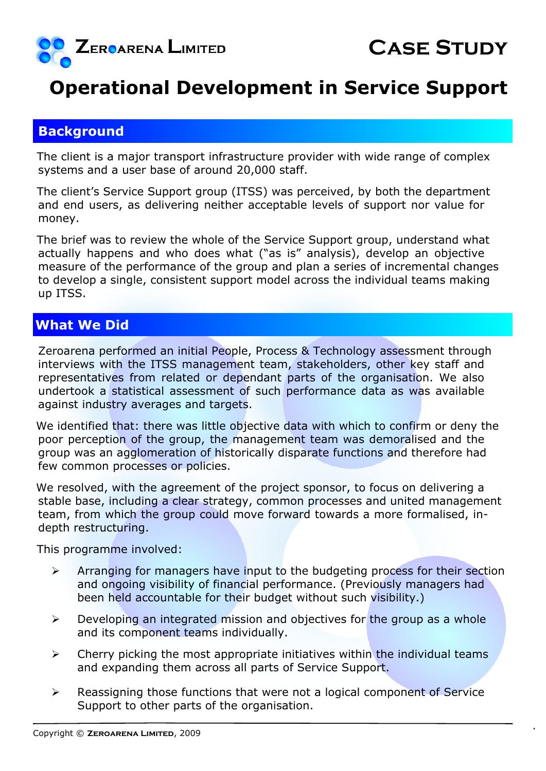

## **Operational Development in Service Support**

## **Background**

The client is a major transport infrastructure provider with wide range of complex systems and a user base of around 20,000 staff.

The client's Service Support group (ITSS) was perceived, by both the department and end users, as delivering neither acceptable levels of support nor value for money.

The brief was to review the whole of the Service Support group, understand what actually happens and who does what ("as is" analysis), develop an objective measure of the performance of the group and plan a series of incremental changes to develop a single, consistent support model across the individual teams making up ITSS.

## **What We Did**

Zeroarena performed an initial People, Process & Technology assessment through interviews with the ITSS management team, stakeholders, other key staff and representatives from related or dependant parts of the organisation. We also undertook a statistical assessment of such performance data as was available against industry averages and targets.

We identified that: there was little objective data with which to confirm or deny the poor perception of the group, the management team was demoralised and the group was an agglomeration of historically disparate functions and therefore had few common processes or policies.

We resolved, with the agreement of the project sponsor, to focus on delivering a stable base, including a clear strategy, common processes and united management team, from which the group could move forward towards a more formalised, indepth restructuring.

This programme involved:

- $\triangleright$  Arranging for managers have input to the budgeting process for their section and ongoing visibility of financial performance. (Previously managers had been held accountable for their budget without such visibility.)
- $\triangleright$  Developing an integrated mission and objectives for the group as a whole and its component teams individually.
- $\triangleright$  Cherry picking the most appropriate initiatives within the individual teams and expanding them across all parts of Service Support.
- $\triangleright$  Reassigning those functions that were not a logical component of Service Support to other parts of the organisation.